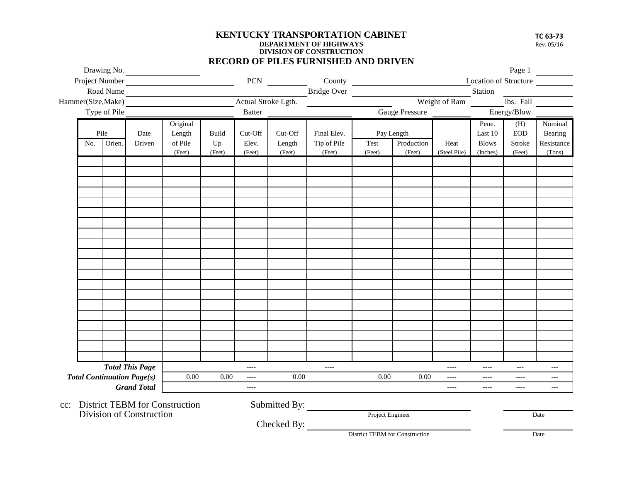## **KENTUCKY TRANSPORTATION CABINET DEPARTMENT OF HIGHWAYS DIVISION OF CONSTRUCTION RECORD OF PILES FURNISHED AND DRIVEN**

**TC 63-73**  Rev. 05/16

|                                                         |                          | Drawing No.                                                                             |                        |                                       |              |                                |                  | <b>RECORD OF PILES FURNISHED AND DRIVEN</b>                                     |                  |                      |                          |                          | Page 1            |                          |
|---------------------------------------------------------|--------------------------|-----------------------------------------------------------------------------------------|------------------------|---------------------------------------|--------------|--------------------------------|------------------|---------------------------------------------------------------------------------|------------------|----------------------|--------------------------|--------------------------|-------------------|--------------------------|
| Road Name<br>Type of Pile                               |                          |                                                                                         | Project Number         |                                       |              |                                |                  | <b>Location of Structure</b><br>PCN County<br>Bridge Over Weight of Ram Station |                  |                      |                          |                          |                   |                          |
|                                                         |                          | <u> 1989 - Johann Stein, mars et al. (</u><br>Actual Stroke Lgth.<br>Hammer(Size, Make) |                        |                                       |              |                                |                  |                                                                                 |                  | lbs. Fall            |                          |                          |                   |                          |
|                                                         |                          | Batter                                                                                  |                        |                                       |              |                                | Gauge Pressure   |                                                                                 | Energy/Blow      |                      |                          |                          |                   |                          |
|                                                         |                          | Pile                                                                                    | Date                   | Original<br>Length                    | Build        | Cut-Off                        | Cut-Off          | Final Elev.                                                                     |                  | Pay Length           |                          | Pene.<br>Last 10         | (H)<br><b>EOD</b> | Nominal<br>Bearing       |
|                                                         | No.                      | Orien.                                                                                  | Driven                 | of Pile<br>(Feet)                     | Up<br>(Feet) | Elev.<br>(Feet)                | Length<br>(Feet) | Tip of Pile<br>(Feet)                                                           | Test<br>(Feet)   | Production<br>(Feet) | Heat<br>(Steel Pile)     | <b>Blows</b><br>(Inches) | Stroke<br>(Feet)  | Resistance<br>(Tons)     |
|                                                         |                          |                                                                                         |                        |                                       |              |                                |                  |                                                                                 |                  |                      |                          |                          |                   |                          |
|                                                         |                          |                                                                                         |                        |                                       |              |                                |                  |                                                                                 |                  |                      |                          |                          |                   |                          |
|                                                         |                          |                                                                                         |                        |                                       |              |                                |                  |                                                                                 |                  |                      |                          |                          |                   |                          |
|                                                         |                          |                                                                                         |                        |                                       |              |                                |                  |                                                                                 |                  |                      |                          |                          |                   |                          |
|                                                         |                          |                                                                                         |                        |                                       |              |                                |                  |                                                                                 |                  |                      |                          |                          |                   |                          |
|                                                         |                          |                                                                                         |                        |                                       |              |                                |                  |                                                                                 |                  |                      |                          |                          |                   |                          |
|                                                         |                          |                                                                                         |                        |                                       |              |                                |                  |                                                                                 |                  |                      |                          |                          |                   |                          |
|                                                         |                          |                                                                                         |                        |                                       |              |                                |                  |                                                                                 |                  |                      |                          |                          |                   |                          |
|                                                         |                          |                                                                                         |                        |                                       |              |                                |                  |                                                                                 |                  |                      |                          |                          |                   |                          |
|                                                         |                          |                                                                                         |                        |                                       |              |                                |                  |                                                                                 |                  |                      |                          |                          |                   |                          |
|                                                         |                          |                                                                                         |                        |                                       |              |                                |                  |                                                                                 |                  |                      |                          |                          |                   |                          |
|                                                         |                          |                                                                                         |                        |                                       |              |                                |                  |                                                                                 |                  |                      |                          |                          |                   |                          |
|                                                         |                          |                                                                                         |                        |                                       |              |                                |                  |                                                                                 |                  |                      |                          |                          |                   |                          |
|                                                         |                          |                                                                                         |                        |                                       |              |                                |                  |                                                                                 |                  |                      |                          |                          |                   |                          |
|                                                         |                          |                                                                                         |                        |                                       |              |                                |                  |                                                                                 |                  |                      |                          |                          |                   |                          |
|                                                         |                          |                                                                                         |                        |                                       |              |                                |                  |                                                                                 |                  |                      |                          |                          |                   |                          |
|                                                         |                          |                                                                                         |                        |                                       |              |                                |                  |                                                                                 |                  |                      |                          |                          |                   |                          |
|                                                         |                          |                                                                                         | <b>Total This Page</b> |                                       |              | $---$                          |                  | $\qquad \qquad - - -$                                                           |                  |                      | $\qquad \qquad - - -$    | $\qquad \qquad - - -$    | $---$             | $---$                    |
| <b>Total Continuation Page(s)</b><br><b>Grand Total</b> |                          |                                                                                         |                        | 0.00                                  | 0.00         | $\overline{\phantom{a}}$       | 0.00             |                                                                                 | 0.00             | 0.00                 | $\qquad \qquad - - -$    | $\qquad \qquad - - -$    | $---$             | $\overline{\phantom{a}}$ |
|                                                         |                          |                                                                                         |                        |                                       | $---$        |                                |                  |                                                                                 |                  | $---$                | $\overline{\phantom{a}}$ | $---$                    | $---$             |                          |
| $cc$ :                                                  |                          |                                                                                         |                        | <b>District TEBM</b> for Construction |              |                                | Submitted By:    |                                                                                 |                  |                      |                          |                          |                   |                          |
|                                                         | Division of Construction |                                                                                         |                        |                                       |              | Checked By:                    |                  |                                                                                 | Project Engineer |                      |                          |                          |                   | Date                     |
|                                                         |                          |                                                                                         |                        |                                       |              | District TEBM for Construction |                  |                                                                                 |                  |                      | Date                     |                          |                   |                          |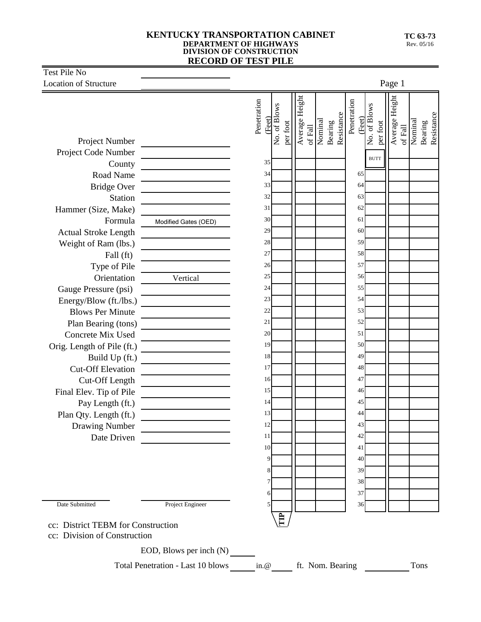## **KENTUCKY TRANSPORTATION CABINET DEPARTMENT OF HIGHWAYS DIVISION OF CONSTRUCTION RECORD OF TEST PILE**

| Test Pile No                                                                                                                                                                                                                                                                                                                                                                                                                                                                              |                                                                                                                                                                                                                                                                                                                      |                                                                                                                                                               |                                                                                |                                                                                                                                                                                                                                                     |  |  |  |  |
|-------------------------------------------------------------------------------------------------------------------------------------------------------------------------------------------------------------------------------------------------------------------------------------------------------------------------------------------------------------------------------------------------------------------------------------------------------------------------------------------|----------------------------------------------------------------------------------------------------------------------------------------------------------------------------------------------------------------------------------------------------------------------------------------------------------------------|---------------------------------------------------------------------------------------------------------------------------------------------------------------|--------------------------------------------------------------------------------|-----------------------------------------------------------------------------------------------------------------------------------------------------------------------------------------------------------------------------------------------------|--|--|--|--|
|                                                                                                                                                                                                                                                                                                                                                                                                                                                                                           |                                                                                                                                                                                                                                                                                                                      | Page 1                                                                                                                                                        |                                                                                |                                                                                                                                                                                                                                                     |  |  |  |  |
| <b>Location of Structure</b><br>Project Number<br>Project Code Number<br>County<br>Road Name<br><b>Bridge Over</b><br>Station<br>Hammer (Size, Make)<br>Formula<br><b>Actual Stroke Length</b><br>Weight of Ram (lbs.)<br>Fall (ft)<br>Type of Pile<br>Orientation<br>Gauge Pressure (psi)<br>Energy/Blow (ft./lbs.)<br><b>Blows Per Minute</b><br>Plan Bearing (tons)<br>Concrete Mix Used<br>Orig. Length of Pile (ft.)<br>Build Up (ft.)<br><b>Cut-Off Elevation</b><br>Cut-Off Length | <u> 1980 - Johann Barbara, martxa al</u><br>Modified Gates (OED)<br>Vertical<br><u> The Communication of the Communication of the Communication of the Communication of the Communication of the Communication of the Communication of the Communication of the Communication of the Communication of the Commun</u> | Penetration<br>No. of Blows<br>(Feet)<br>35<br>34<br>33<br>32<br>31<br>30<br>29<br>28<br>27<br>26<br>25<br>24<br>23<br>22<br>21<br>20<br>19<br>18<br>17<br>16 | Average Height<br>Bearing<br>Resistance<br>Nominal<br>per foot<br>of Fall $\,$ | Average Height<br>Penetration<br>No. of Blows<br>Bearing<br>Resistance<br>(Feet)<br>Nominal<br>per foot<br>of Fall<br><b>BUTT</b><br>65<br>64<br>63<br>62<br>61<br>60<br>59<br>58<br>57<br>56<br>55<br>54<br>53<br>52<br>51<br>50<br>49<br>48<br>47 |  |  |  |  |
| Final Elev. Tip of Pile<br>Pay Length (ft.)<br>Plan Qty. Length (ft.)<br>Drawing Number<br>Date Driven<br>Date Submitted<br>cc: District TEBM for Construction<br>cc: Division of Construction                                                                                                                                                                                                                                                                                            | <u> 1989 - Johann Barnett, mars et al. 1989 - Anna ann an t-Anna ann an t-Anna ann an t-Anna ann an t-Anna ann an</u><br>Project Engineer<br>EOD, Blows per inch (N)                                                                                                                                                 | 15<br>14<br>13<br>12<br>11<br>10<br>9<br>6<br>Ê                                                                                                               |                                                                                | 46<br>45<br>44<br>43<br>42<br>41<br>40<br>39<br>38<br>37<br>36                                                                                                                                                                                      |  |  |  |  |
|                                                                                                                                                                                                                                                                                                                                                                                                                                                                                           | Total Penetration - Last 10 blows in.@ ft. Nom. Bearing                                                                                                                                                                                                                                                              |                                                                                                                                                               |                                                                                | Tons                                                                                                                                                                                                                                                |  |  |  |  |